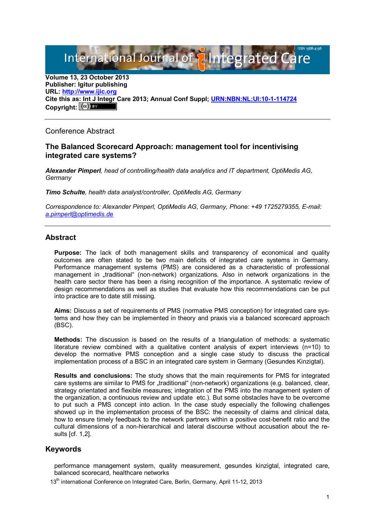International Journal of **Plantegrated Care** 

**Volume 13, 23 October 2013 Publisher: Igitur publishing URL: [http://www.ijic.org](http://www.ijic.org/) Cite this as: Int J Integr Care 2013; Annual Conf Suppl; [URN:NBN:NL:UI:10-1-114724](http://persistent-identifier.nl/?identifier=URN:NBN:NL:UI:10-1-114724)**  Copyright:  $(cc)$ 

## Conference Abstract

#### **The Balanced Scorecard Approach: management tool for incentivising integrated care systems?**

*Alexander Pimperl, head of controlling/health data analytics and IT department, OptiMedis AG, Germany*

*Timo Schulte, health data analyst/controller, OptiMedis AG, Germany*

*Correspondence to: Alexander Pimperl, OptiMedis AG, Germany, Phone: +49 1725279355, E-mail: [a.pimperl@optimedis.de](mailto:a.pimperl@optimedis.de)*

## **Abstract**

**Purpose:** The lack of both management skills and transparency of economical and quality outcomes are often stated to be two main deficits of integrated care systems in Germany. Performance management systems (PMS) are considered as a characteristic of professional management in "traditional" (non-network) organizations. Also in network organizations in the health care sector there has been a rising recognition of the importance. A systematic review of design recommendations as well as studies that evaluate how this recommendations can be put into practice are to date still missing.

**Aims:** Discuss a set of requirements of PMS (normative PMS conception) for integrated care systems and how they can be implemented in theory and praxis via a balanced scorecard approach (BSC).

**Methods:** The discussion is based on the results of a triangulation of methods: a systematic literature review combined with a qualitative content analysis of expert interviews (n=10) to develop the normative PMS conception and a single case study to discuss the practical implementation process of a BSC in an integrated care system in Germany (Gesundes Kinzigtal).

**Results and conclusions:** The study shows that the main requirements for PMS for integrated care systems are similar to PMS for "traditional" (non-network) organizations (e.g. balanced, clear, strategy orientated and flexible measures; integration of the PMS into the management system of the organization, a continuous review and update etc.). But some obstacles have to be overcome to put such a PMS concept into action. In the case study especially the following challenges showed up in the implementation process of the BSC: the necessity of claims and clinical data, how to ensure timely feedback to the network partners within a positive cost-benefit ratio and the cultural dimensions of a non-hierarchical and lateral discourse without accusation about the results [cf. 1,2].

# **Keywords**

performance management system, quality measurement, gesundes kinzigtal, integrated care, balanced scorecard, healthcare networks

13<sup>th</sup> international Conference on Integrated Care, Berlin, Germany, April 11-12, 2013